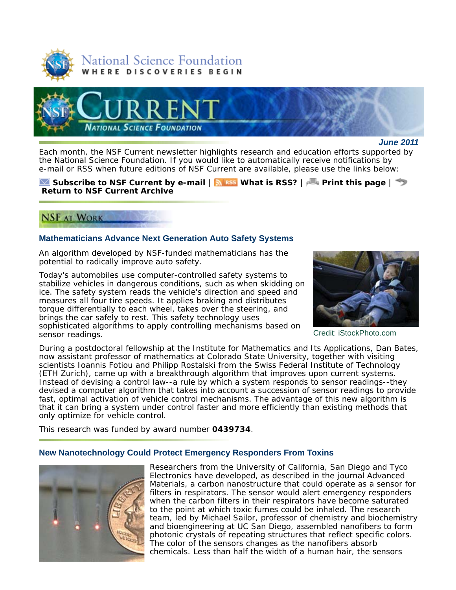



*June 2011*

Each month, the *NSF Current* newsletter highlights research and education efforts supported by the National Science Foundation. If you would like to automatically receive notifications by e-mail or RSS when future editions of *NSF Current* are available, please use the links below:

#### **Subscribe to** *NSF Current* **by e-mail** | **What is RSS?** | **Print this page** | **Return to** *NSF Current* **Archive**

# **NSF AT WORK**

# **Mathematicians Advance Next Generation Auto Safety Systems**

An algorithm developed by NSF-funded mathematicians has the potential to radically improve auto safety.

Today's automobiles use computer-controlled safety systems to stabilize vehicles in dangerous conditions, such as when skidding on ice. The safety system reads the vehicle's direction and speed and measures all four tire speeds. It applies braking and distributes torque differentially to each wheel, takes over the steering, and brings the car safely to rest. This safety technology uses sophisticated algorithms to apply controlling mechanisms based on sensor readings.



Credit: iStockPhoto.com

During a postdoctoral fellowship at the Institute for Mathematics and Its Applications, Dan Bates, now assistant professor of mathematics at Colorado State University, together with visiting scientists Ioannis Fotiou and Philipp Rostalski from the Swiss Federal Institute of Technology (ETH Zurich), came up with a breakthrough algorithm that improves upon current systems. Instead of devising a control law--a rule by which a system responds to sensor readings--they devised a computer algorithm that takes into account a succession of sensor readings to provide fast, optimal activation of vehicle control mechanisms. The advantage of this new algorithm is that it can bring a system under control faster and more efficiently than existing methods that only optimize for vehicle control.

This research was funded by award number **0439734**.

## **New Nanotechnology Could Protect Emergency Responders From Toxins**



Researchers from the University of California, San Diego and Tyco Electronics have developed, as described in the journal *Advanced Materials*, a carbon nanostructure that could operate as a sensor for filters in respirators. The sensor would alert emergency responders when the carbon filters in their respirators have become saturated to the point at which toxic fumes could be inhaled. The research team, led by Michael Sailor, professor of chemistry and biochemistry and bioengineering at UC San Diego, assembled nanofibers to form photonic crystals of repeating structures that reflect specific colors. The color of the sensors changes as the nanofibers absorb chemicals. Less than half the width of a human hair, the sensors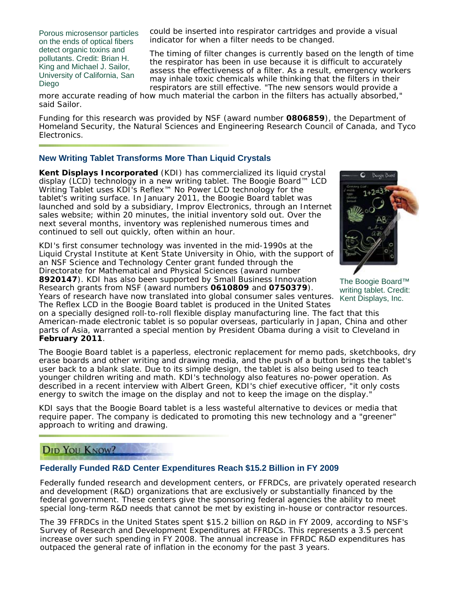Porous microsensor particles on the ends of optical fibers detect organic toxins and pollutants. Credit: Brian H. King and Michael J. Sailor, University of California, San Diego

could be inserted into respirator cartridges and provide a visual indicator for when a filter needs to be changed.

The timing of filter changes is currently based on the length of time the respirator has been in use because it is difficult to accurately assess the effectiveness of a filter. As a result, emergency workers may inhale toxic chemicals while thinking that the filters in their respirators are still effective. "The new sensors would provide a

more accurate reading of how much material the carbon in the filters has actually absorbed," said Sailor.

Funding for this research was provided by NSF (award number **0806859**), the Department of Homeland Security, the Natural Sciences and Engineering Research Council of Canada, and Tyco Electronics.

# **New Writing Tablet Transforms More Than Liquid Crystals**

**Kent Displays Incorporated** (KDI) has commercialized its liquid crystal display (LCD) technology in a new writing tablet. The Boogie Board™ LCD Writing Tablet uses KDI's Reflex™ No Power LCD technology for the tablet's writing surface. In January 2011, the Boogie Board tablet was launched and sold by a subsidiary, Improv Electronics, through an Internet sales website; within 20 minutes, the initial inventory sold out. Over the next several months, inventory was replenished numerous times and continued to sell out quickly, often within an hour.

KDI's first consumer technology was invented in the mid-1990s at the Liquid Crystal Institute at Kent State University in Ohio, with the support of an NSF Science and Technology Center grant funded through the Directorate for Mathematical and Physical Sciences (award number **8920147**). KDI has also been supported by Small Business Innovation Research grants from NSF (award numbers **0610809** and **0750379**).

Years of research have now translated into global consumer sales ventures. The Reflex LCD in the Boogie Board tablet is produced in the United States



The Boogie Board™ writing tablet. Credit: Kent Displays, Inc.

on a specially designed roll-to-roll flexible display manufacturing line. The fact that this American-made electronic tablet is so popular overseas, particularly in Japan, China and other parts of Asia, warranted a special mention by President Obama during a visit to Cleveland in **February 2011**.

The Boogie Board tablet is a paperless, electronic replacement for memo pads, sketchbooks, dry erase boards and other writing and drawing media, and the push of a button brings the tablet's user back to a blank slate. Due to its simple design, the tablet is also being used to teach younger children writing and math. KDI's technology also features no-power operation. As described in a recent interview with Albert Green, KDI's chief executive officer, "it only costs energy to switch the image on the display and not to keep the image on the display."

KDI says that the Boogie Board tablet is a less wasteful alternative to devices or media that require paper. The company is dedicated to promoting this new technology and a "greener" approach to writing and drawing.

# **DID YOU KNOW?**

## **Federally Funded R&D Center Expenditures Reach \$15.2 Billion in FY 2009**

Federally funded research and development centers, or FFRDCs, are privately operated research and development (R&D) organizations that are exclusively or substantially financed by the federal government. These centers give the sponsoring federal agencies the ability to meet special long-term R&D needs that cannot be met by existing in-house or contractor resources.

The 39 FFRDCs in the United States spent \$15.2 billion on R&D in FY 2009, according to NSF's Survey of Research and Development Expenditures at FFRDCs. This represents a 3.5 percent increase over such spending in FY 2008. The annual increase in FFRDC R&D expenditures has outpaced the general rate of inflation in the economy for the past 3 years.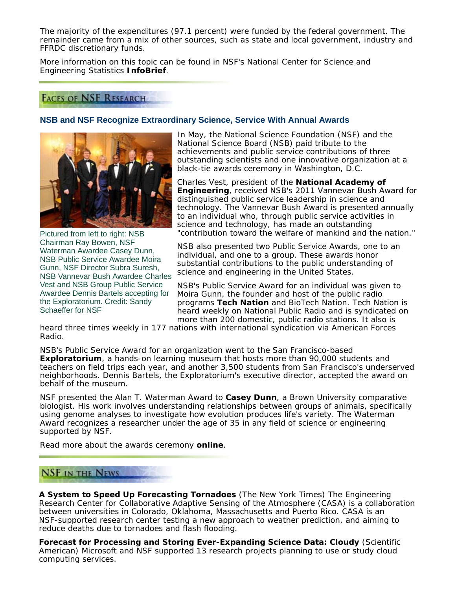The majority of the expenditures (97.1 percent) were funded by the federal government. The remainder came from a mix of other sources, such as state and local government, industry and FFRDC discretionary funds.

More information on this topic can be found in NSF's National Center for Science and Engineering Statistics **InfoBrief**.

# **FACES OF NSF RESEARCH**

## **NSB and NSF Recognize Extraordinary Science, Service With Annual Awards**



Pictured from left to right: NSB Chairman Ray Bowen, NSF Waterman Awardee Casey Dunn, NSB Public Service Awardee Moira Gunn, NSF Director Subra Suresh, NSB Vannevar Bush Awardee Charles Vest and NSB Group Public Service Awardee Dennis Bartels accepting for the Exploratorium. Credit: Sandy Schaeffer for NSF

In May, the National Science Foundation (NSF) and the National Science Board (NSB) paid tribute to the achievements and public service contributions of three outstanding scientists and one innovative organization at a black-tie awards ceremony in Washington, D.C.

Charles Vest, president of the **National Academy of Engineering**, received NSB's 2011 Vannevar Bush Award for distinguished public service leadership in science and technology. The Vannevar Bush Award is presented annually to an individual who, through public service activities in science and technology, has made an outstanding "contribution toward the welfare of mankind and the nation."

NSB also presented two Public Service Awards, one to an individual, and one to a group. These awards honor substantial contributions to the public understanding of science and engineering in the United States.

NSB's Public Service Award for an individual was given to Moira Gunn, the founder and host of the public radio programs **Tech Nation** and BioTech Nation. Tech Nation is heard weekly on National Public Radio and is syndicated on more than 200 domestic, public radio stations. It also is

heard three times weekly in 177 nations with international syndication via American Forces Radio.

NSB's Public Service Award for an organization went to the San Francisco-based **Exploratorium**, a hands-on learning museum that hosts more than 90,000 students and teachers on field trips each year, and another 3,500 students from San Francisco's underserved neighborhoods. Dennis Bartels, the Exploratorium's executive director, accepted the award on behalf of the museum.

NSF presented the Alan T. Waterman Award to **Casey Dunn**, a Brown University comparative biologist. His work involves understanding relationships between groups of animals, specifically using genome analyses to investigate how evolution produces life's variety. The Waterman Award recognizes a researcher under the age of 35 in any field of science or engineering supported by NSF.

Read more about the awards ceremony **online**.

# **NSF IN THE NEWS**

**A System to Speed Up Forecasting Tornadoes** (*The New York Times*) The Engineering Research Center for Collaborative Adaptive Sensing of the Atmosphere (CASA) is a collaboration between universities in Colorado, Oklahoma, Massachusetts and Puerto Rico. CASA is an NSF-supported research center testing a new approach to weather prediction, and aiming to reduce deaths due to tornadoes and flash flooding.

**Forecast for Processing and Storing Ever-Expanding Science Data: Cloudy** (*Scientific American*) Microsoft and NSF supported 13 research projects planning to use or study cloud computing services.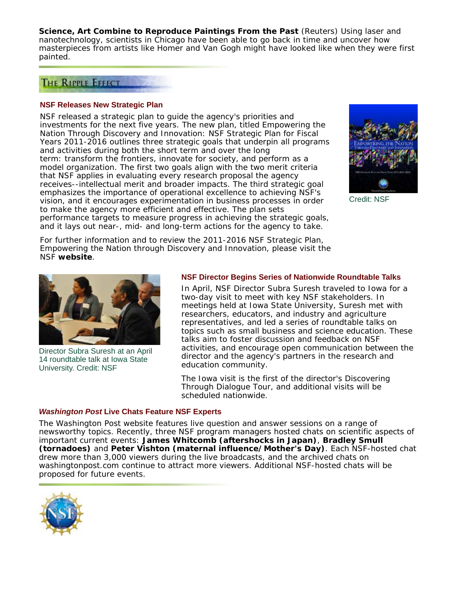**Science, Art Combine to Reproduce Paintings From the Past** (*Reuters*) Using laser and nanotechnology, scientists in Chicago have been able to go back in time and uncover how masterpieces from artists like Homer and Van Gogh might have looked like when they were first painted.

# THE RIPPLE EFFECT

#### **NSF Releases New Strategic Plan**

NSF released a strategic plan to guide the agency's priorities and investments for the next five years. The new plan, titled *Empowering the Nation Through Discovery and Innovation: NSF Strategic Plan for Fiscal Years 2011-2016* outlines three strategic goals that underpin all programs and activities during both the short term and over the long term: transform the frontiers, innovate for society, and perform as a model organization. The first two goals align with the two merit criteria that NSF applies in evaluating every research proposal the agency receives--intellectual merit and broader impacts. The third strategic goal emphasizes the importance of operational excellence to achieving NSF's vision, and it encourages experimentation in business processes in order to make the agency more efficient and effective. The plan sets performance targets to measure progress in achieving the strategic goals, and it lays out near-, mid- and long-term actions for the agency to take.



Credit: NSF

For further information and to review the 2011-2016 NSF Strategic Plan, *Empowering the Nation through Discovery and Innovation*, please visit the NSF **website**.



Director Subra Suresh at an April 14 roundtable talk at Iowa State University. Credit: NSF

#### **NSF Director Begins Series of Nationwide Roundtable Talks**

In April, NSF Director Subra Suresh traveled to Iowa for a two-day visit to meet with key NSF stakeholders. In meetings held at Iowa State University, Suresh met with researchers, educators, and industry and agriculture representatives, and led a series of roundtable talks on topics such as small business and science education. These talks aim to foster discussion and feedback on NSF activities, and encourage open communication between the director and the agency's partners in the research and education community.

The Iowa visit is the first of the director's Discovering Through Dialogue Tour, and additional visits will be scheduled nationwide.

## *Washington Post* **Live Chats Feature NSF Experts**

*The Washington Post* website features live question and answer sessions on a range of newsworthy topics. Recently, three NSF program managers hosted chats on scientific aspects of important current events: **James Whitcomb (aftershocks in Japan)**, **Bradley Smull (tornadoes)** and **Peter Vishton (maternal influence/Mother's Day)**. Each NSF-hosted chat drew more than 3,000 viewers during the live broadcasts, and the archived chats on washingtonpost.com continue to attract more viewers. Additional NSF-hosted chats will be proposed for future events.